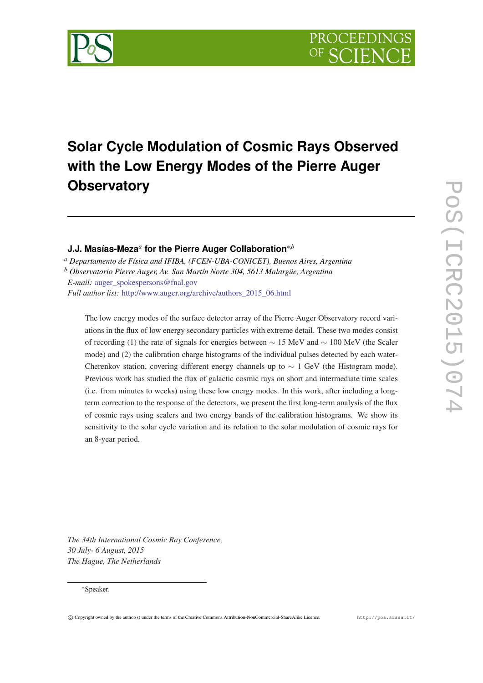

# **Solar Cycle Modulation of Cosmic Rays Observed with the Low Energy Modes of the Pierre Auger Observatory**

# **J.J. Masías-Meza***<sup>a</sup>* **for the Pierre Auger Collaboration**∗,*<sup>b</sup>*

*<sup>a</sup> Departamento de Física and IFIBA, (FCEN-UBA-CONICET), Buenos Aires, Argentina*

*<sup>b</sup> Observatorio Pierre Auger, Av. San Martín Norte 304, 5613 Malargüe, Argentina*

*E-mail:* auger spokespersons@fnal.gov

*Full author list:* [http://www.auger.org/archive/authors\\_2015\\_06.html](http://www.auger.org/archive/authors_2015_06.html)

The low energy modes of the surface detector array of the Pierre Auger Observatory record variations in the flux of low energy secondary particles with extreme detail. These two modes consist of recording (1) the rate of signals for energies between ∼ 15 MeV and ∼ 100 MeV (the Scaler mode) and (2) the calibration charge histograms of the individual pulses detected by each water-Cherenkov station, covering different energy channels up to  $\sim 1$  GeV (the Histogram mode). Previous work has studied the flux of galactic cosmic rays on short and intermediate time scales (i.e. from minutes to weeks) using these low energy modes. In this work, after including a longterm correction to the response of the detectors, we present the first long-term analysis of the flux of cosmic rays using scalers and two energy bands of the calibration histograms. We show its sensitivity to the solar cycle variation and its relation to the solar modulation of cosmic rays for an 8-year period.

*The 34th International Cosmic Ray Conference, 30 July- 6 August, 2015 The Hague, The Netherlands*

#### <sup>∗</sup>Speaker.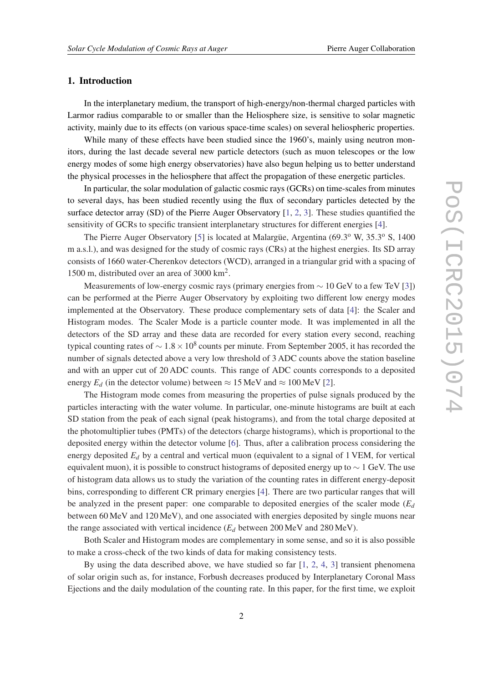#### 1. Introduction

In the interplanetary medium, the transport of high-energy/non-thermal charged particles with Larmor radius comparable to or smaller than the Heliosphere size, is sensitive to solar magnetic activity, mainly due to its effects (on various space-time scales) on several heliospheric properties.

While many of these effects have been studied since the 1960's, mainly using neutron monitors, during the last decade several new particle detectors (such as muon telescopes or the low energy modes of some high energy observatories) have also begun helping us to better understand the physical processes in the heliosphere that affect the propagation of these energetic particles.

In particular, the solar modulation of galactic cosmic rays (GCRs) on time-scales from minutes to several days, has been studied recently using the flux of secondary particles detected by the surface detector array (SD) of the Pierre Auger Observatory [\[1,](#page-7-0) [2,](#page-7-0) [3\]](#page-7-0). These studies quantified the sensitivity of GCRs to specific transient interplanetary structures for different energies [[4](#page-7-0)].

The Pierre Auger Observatory [[5\]](#page-7-0) is located at Malargüe, Argentina (69.3° W, 35.3° S, 1400 m a.s.l.), and was designed for the study of cosmic rays (CRs) at the highest energies. Its SD array consists of 1660 water-Cherenkov detectors (WCD), arranged in a triangular grid with a spacing of 1500 m, distributed over an area of 3000 km<sup>2</sup> .

Measurements of low-energy cosmic rays (primary energies from  $\sim 10$  GeV to a few TeV [\[3\]](#page-7-0)) can be performed at the Pierre Auger Observatory by exploiting two different low energy modes implemented at the Observatory. These produce complementary sets of data [\[4\]](#page-7-0): the Scaler and Histogram modes. The Scaler Mode is a particle counter mode. It was implemented in all the detectors of the SD array and these data are recorded for every station every second, reaching typical counting rates of  $\sim 1.8 \times 10^8$  counts per minute. From September 2005, it has recorded the number of signals detected above a very low threshold of 3 ADC counts above the station baseline and with an upper cut of 20 ADC counts. This range of ADC counts corresponds to a deposited energy  $E_d$  (in the detector volume) between  $\approx 15 \text{ MeV}$  and  $\approx 100 \text{ MeV}$  [[2](#page-7-0)].

The Histogram mode comes from measuring the properties of pulse signals produced by the particles interacting with the water volume. In particular, one-minute histograms are built at each SD station from the peak of each signal (peak histograms), and from the total charge deposited at the photomultiplier tubes (PMTs) of the detectors (charge histograms), which is proportional to the deposited energy within the detector volume [\[6](#page-7-0)]. Thus, after a calibration process considering the energy deposited *E<sup>d</sup>* by a central and vertical muon (equivalent to a signal of 1 VEM, for vertical equivalent muon), it is possible to construct histograms of deposited energy up to  $\sim 1$  GeV. The use of histogram data allows us to study the variation of the counting rates in different energy-deposit bins, corresponding to different CR primary energies [\[4](#page-7-0)]. There are two particular ranges that will be analyzed in the present paper: one comparable to deposited energies of the scaler mode  $(E_d)$ between 60 MeV and 120 MeV), and one associated with energies deposited by single muons near the range associated with vertical incidence  $(E_d$  between 200 MeV and 280 MeV).

Both Scaler and Histogram modes are complementary in some sense, and so it is also possible to make a cross-check of the two kinds of data for making consistency tests.

By using the data described above, we have studied so far [\[1,](#page-7-0) [2](#page-7-0), [4](#page-7-0), [3](#page-7-0)] transient phenomena of solar origin such as, for instance, Forbush decreases produced by Interplanetary Coronal Mass Ejections and the daily modulation of the counting rate. In this paper, for the first time, we exploit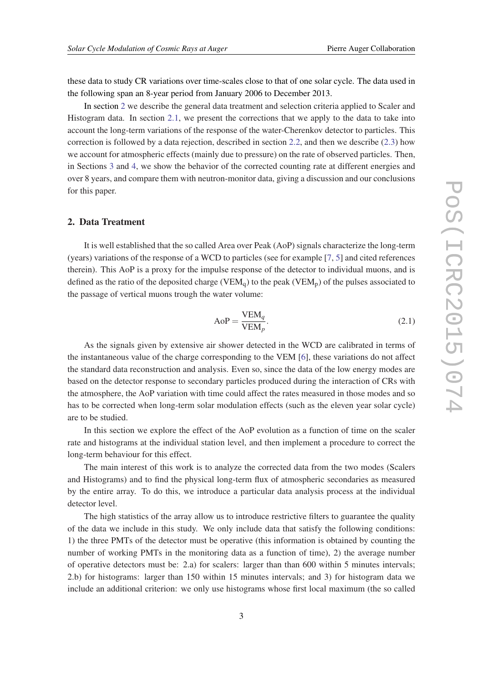these data to study CR variations over time-scales close to that of one solar cycle. The data used in the following span an 8-year period from January 2006 to December 2013.

In section 2 we describe the general data treatment and selection criteria applied to Scaler and Histogram data. In section [2.1](#page-3-0), we present the corrections that we apply to the data to take into account the long-term variations of the response of the water-Cherenkov detector to particles. This correction is followed by a data rejection, described in section [2.2,](#page-4-0) and then we describe [\(2.3](#page-4-0)) how we account for atmospheric effects (mainly due to pressure) on the rate of observed particles. Then, in Sections [3](#page-5-0) and [4,](#page-6-0) we show the behavior of the corrected counting rate at different energies and over 8 years, and compare them with neutron-monitor data, giving a discussion and our conclusions for this paper.

### 2. Data Treatment

It is well established that the so called Area over Peak (AoP) signals characterize the long-term (years) variations of the response of a WCD to particles (see for example [\[7,](#page-7-0) [5](#page-7-0)] and cited references therein). This AoP is a proxy for the impulse response of the detector to individual muons, and is defined as the ratio of the deposited charge (VEM<sub>0</sub>) to the peak (VEM<sub>p</sub>) of the pulses associated to the passage of vertical muons trough the water volume:

$$
AoP = \frac{VEM_q}{VEM_p}.
$$
\n(2.1)

As the signals given by extensive air shower detected in the WCD are calibrated in terms of the instantaneous value of the charge corresponding to the VEM [\[6\]](#page-7-0), these variations do not affect the standard data reconstruction and analysis. Even so, since the data of the low energy modes are based on the detector response to secondary particles produced during the interaction of CRs with the atmosphere, the AoP variation with time could affect the rates measured in those modes and so has to be corrected when long-term solar modulation effects (such as the eleven year solar cycle) are to be studied.

In this section we explore the effect of the AoP evolution as a function of time on the scaler rate and histograms at the individual station level, and then implement a procedure to correct the long-term behaviour for this effect.

The main interest of this work is to analyze the corrected data from the two modes (Scalers and Histograms) and to find the physical long-term flux of atmospheric secondaries as measured by the entire array. To do this, we introduce a particular data analysis process at the individual detector level.

The high statistics of the array allow us to introduce restrictive filters to guarantee the quality of the data we include in this study. We only include data that satisfy the following conditions: 1) the three PMTs of the detector must be operative (this information is obtained by counting the number of working PMTs in the monitoring data as a function of time), 2) the average number of operative detectors must be: 2.a) for scalers: larger than than 600 within 5 minutes intervals; 2.b) for histograms: larger than 150 within 15 minutes intervals; and 3) for histogram data we include an additional criterion: we only use histograms whose first local maximum (the so called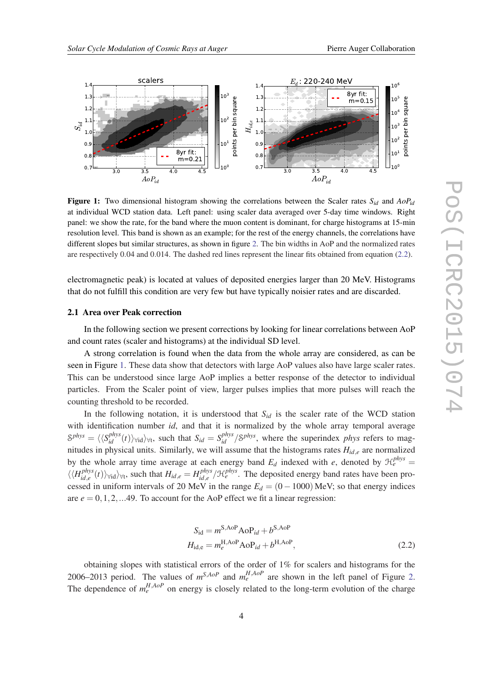<span id="page-3-0"></span>

**Figure 1:** Two dimensional histogram showing the correlations between the Scaler rates  $S_{id}$  and  $AoP_{id}$ at individual WCD station data. Left panel: using scaler data averaged over 5-day time windows. Right panel: we show the rate, for the band where the muon content is dominant, for charge histograms at 15-min resolution level. This band is shown as an example; for the rest of the energy channels, the correlations have different slopes but similar structures, as shown in figure [2](#page-5-0). The bin widths in AoP and the normalized rates are respectively 0.04 and 0.014. The dashed red lines represent the linear fits obtained from equation (2.2).

electromagnetic peak) is located at values of deposited energies larger than 20 MeV. Histograms that do not fulfill this condition are very few but have typically noisier rates and are discarded.

#### 2.1 Area over Peak correction

In the following section we present corrections by looking for linear correlations between AoP and count rates (scaler and histograms) at the individual SD level.

A strong correlation is found when the data from the whole array are considered, as can be seen in Figure 1. These data show that detectors with large AoP values also have large scaler rates. This can be understood since large AoP implies a better response of the detector to individual particles. From the Scaler point of view, larger pulses implies that more pulses will reach the counting threshold to be recorded.

In the following notation, it is understood that  $S_{id}$  is the scaler rate of the WCD station with identification number *id*, and that it is normalized by the whole array temporal average  $S^{phys} = \langle \langle S^{phys}_{id}(t) \rangle_{\forall id} \rangle_{\forall t}$ , such that  $S_{id} = S^{phys}_{id} / S^{phys}$ , where the superindex *phys* refers to magnitudes in physical units. Similarly, we will assume that the histograms rates *Hid*,*<sup>e</sup>* are normalized by the whole array time average at each energy band  $E_d$  indexed with *e*, denoted by  $\mathcal{H}_e^{phys}$  =  $\langle \langle H_{id}^{phys} \rangle$ *id*,*e* (*t*) $\rangle$ ∀*id* $\rangle$ ∀*t*, such that  $H_{id,e} = H_{id,e}^{phys}$  ${}_{id,e}^{phys}/\mathcal{H}_e^{phys}$ . The deposited energy band rates have been processed in uniform intervals of 20 MeV in the range  $E_d = (0 - 1000)$  MeV; so that energy indices are  $e = 0, 1, 2, \dots$ 49. To account for the AoP effect we fit a linear regression:

$$
S_{\rm id} = m^{\rm S, AoP} \text{AoP}_{id} + b^{\rm S, AoP}
$$
  
\n
$$
H_{\rm id,e} = m_e^{\rm H, AoP} \text{AoP}_{id} + b^{\rm H, AoP},
$$
\n(2.2)

obtaining slopes with statistical errors of the order of 1% for scalers and histograms for the [2](#page-5-0)006–2013 period. The values of  $m^{S, A \circ P}$  and  $m_e^{H, A \circ P}$  are shown in the left panel of Figure 2. The dependence of  $m_e^{H, A \circ P}$  on energy is closely related to the long-term evolution of the charge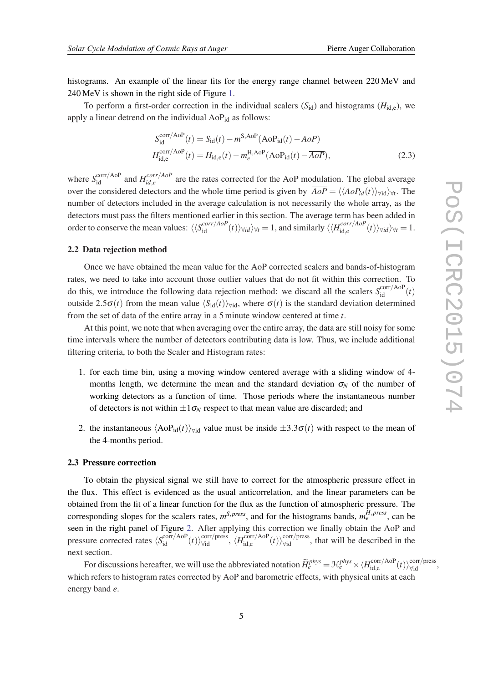<span id="page-4-0"></span>histograms. An example of the linear fits for the energy range channel between 220 MeV and 240 MeV is shown in the right side of Figure [1.](#page-3-0)

To perform a first-order correction in the individual scalers  $(S_{id})$  and histograms  $(H_{id,e})$ , we apply a linear detrend on the individual  $AoP<sub>id</sub>$  as follows:

$$
S_{\rm id}^{\rm corr/AoP}(t) = S_{\rm id}(t) - m^{\rm S,AoP}(\rm AoP_{\rm id}(t) - \overline{AoP})
$$
  
\n
$$
H_{\rm id,e}^{\rm corr/AoP}(t) = H_{\rm id,e}(t) - m_e^{\rm H,AoP}(\rm AoP_{\rm id}(t) - \overline{AoP}),
$$
\n(2.3)

where  $S_{\text{id}}^{\text{corr/AoP}}$  and  $H_{id,e}^{corr/AoP}$  $\int_{id,e}^{corr/ACT}$  are the rates corrected for the AoP modulation. The global average over the considered detectors and the whole time period is given by  $\overline{AoP} = \langle \langle AoP_{id}(t) \rangle_{\forall id} \rangle_{\forall t}$ . The number of detectors included in the average calculation is not necessarily the whole array, as the detectors must pass the filters mentioned earlier in this section. The average term has been added in order to conserve the mean values:  $\langle \langle S_{id}^{corr/AoP}(t) \rangle_{\forall id} \rangle_{\forall t} = 1$ , and similarly  $\langle \langle H_{id,e}^{corr/AoP}(t) \rangle_{\forall id} \rangle_{\forall t}$  $\langle t^{corr/AGP}_i(t) \rangle_{\forall id} \rangle_{\forall t} = 1.$ 

#### 2.2 Data rejection method

Once we have obtained the mean value for the AoP corrected scalers and bands-of-histogram rates, we need to take into account those outlier values that do not fit within this correction. To do this, we introduce the following data rejection method: we discard all the scalers  $S_{id}^{corr/AoP}(t)$ outside 2.5 $\sigma(t)$  from the mean value  $\langle S_{id}(t)\rangle_{\forall id}$ , where  $\sigma(t)$  is the standard deviation determined from the set of data of the entire array in a 5 minute window centered at time *t*.

At this point, we note that when averaging over the entire array, the data are still noisy for some time intervals where the number of detectors contributing data is low. Thus, we include additional filtering criteria, to both the Scaler and Histogram rates:

- 1. for each time bin, using a moving window centered average with a sliding window of 4 months length, we determine the mean and the standard deviation  $\sigma_N$  of the number of working detectors as a function of time. Those periods where the instantaneous number of detectors is not within  $\pm 1\sigma_N$  respect to that mean value are discarded; and
- 2. the instantaneous  $\langle \text{AoP}_{id}(t) \rangle_{\forall id}$  value must be inside  $\pm 3.3\sigma(t)$  with respect to the mean of the 4-months period.

#### 2.3 Pressure correction

To obtain the physical signal we still have to correct for the atmospheric pressure effect in the flux. This effect is evidenced as the usual anticorrelation, and the linear parameters can be obtained from the fit of a linear function for the flux as the function of atmospheric pressure. The corresponding slopes for the scalers rates,  $m^{S,press}$ , and for the histograms bands,  $m_e^{H,press}$ , can be seen in the right panel of Figure [2.](#page-5-0) After applying this correction we finally obtain the AoP and pressure corrected rates  $\langle S_{\text{id}}^{\text{corr/AoP}}(t) \rangle_{\text{Vid}}^{\text{corr/press}}, \langle H_{\text{id,e}}^{\text{corr/AoP}}$  $\binom{\text{corr/AooP}}{\text{tid,e}}(t)$ <sub>Vid</sub> , that will be described in the next section.

For discussions hereafter, we will use the abbreviated notation  $\widetilde{H}_e^{phys} = \mathcal{H}_e^{phys} \times \langle H_{\text{id},e}^{\text{corr/AoP}}\rangle$  $\lim_{\text{id,e}}^{\text{corr/AoP}}(t)\rangle_{\forall \text{id}}^{\text{corr/press}},$ which refers to histogram rates corrected by AoP and barometric effects, with physical units at each energy band *e*.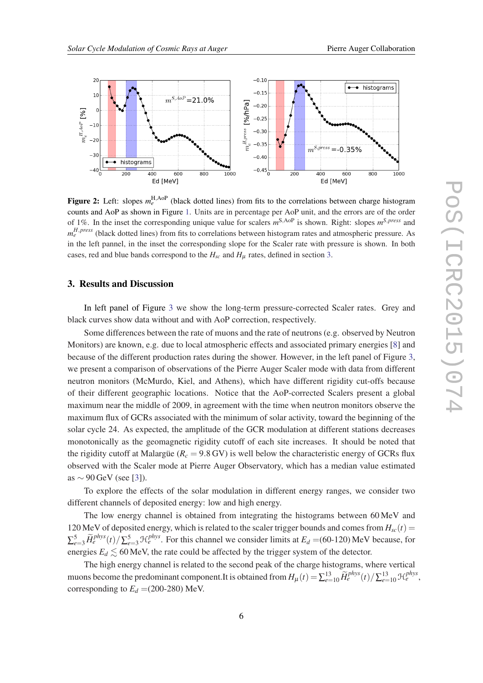<span id="page-5-0"></span>

Figure 2: Left: slopes  $m_e^{\text{H,AoP}}$  (black dotted lines) from fits to the correlations between charge histogram counts and AoP as shown in Figure [1](#page-3-0). Units are in percentage per AoP unit, and the errors are of the order of 1%. In the inset the corresponding unique value for scalers *m* <sup>S</sup>,AoP is shown. Right: slopes *m <sup>S</sup>*,*press* and *m*<sup>*H*,*press*</sup> (black dotted lines) from fits to correlations between histogram rates and atmospheric pressure. As in the left pannel, in the inset the corresponding slope for the Scaler rate with pressure is shown. In both cases, red and blue bands correspond to the  $H_{sc}$  and  $H_{\mu}$  rates, defined in section 3.

#### 3. Results and Discussion

In left panel of Figure [3](#page-6-0) we show the long-term pressure-corrected Scaler rates. Grey and black curves show data without and with AoP correction, respectively.

Some differences between the rate of muons and the rate of neutrons (e.g. observed by Neutron Monitors) are known, e.g. due to local atmospheric effects and associated primary energies [[8](#page-7-0)] and because of the different production rates during the shower. However, in the left panel of Figure [3](#page-6-0), we present a comparison of observations of the Pierre Auger Scaler mode with data from different neutron monitors (McMurdo, Kiel, and Athens), which have different rigidity cut-offs because of their different geographic locations. Notice that the AoP-corrected Scalers present a global maximum near the middle of 2009, in agreement with the time when neutron monitors observe the maximum flux of GCRs associated with the minimum of solar activity, toward the beginning of the solar cycle 24. As expected, the amplitude of the GCR modulation at different stations decreases monotonically as the geomagnetic rigidity cutoff of each site increases. It should be noted that the rigidity cutoff at Malargüe ( $R<sub>c</sub> = 9.8$  GV) is well below the characteristic energy of GCRs flux observed with the Scaler mode at Pierre Auger Observatory, which has a median value estimated as  $\sim$  90 GeV (see [\[3](#page-7-0)]).

To explore the effects of the solar modulation in different energy ranges, we consider two different channels of deposited energy: low and high energy.

The low energy channel is obtained from integrating the histograms between 60 MeV and 120 MeV of deposited energy, which is related to the scaler trigger bounds and comes from  $H_{sc}(t)$  =  $\sum_{e=3}^{5} \widetilde{H}_{e}^{phys}(t) / \sum_{e=3}^{5} \mathcal{H}_{e}^{phys}$ . For this channel we consider limits at  $E_d = (60-120)$  MeV because, for energies  $E_d \lesssim 60$  MeV, the rate could be affected by the trigger system of the detector.

The high energy channel is related to the second peak of the charge histograms, where vertical muons become the predominant component.It is obtained from  $H_{\mu}(t) = \sum_{e=10}^{13} \widetilde{H}_e^{phys}(t) / \sum_{e=10}^{13} \mathcal{H}_e^{phys}$ , corresponding to  $E_d$  =(200-280) MeV.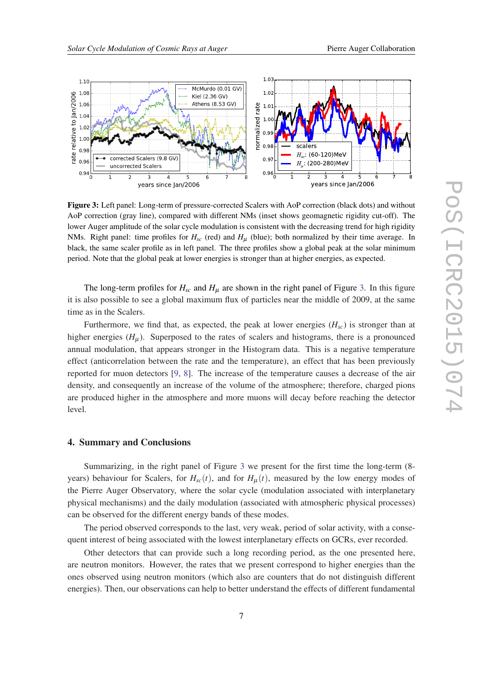<span id="page-6-0"></span>

Figure 3: Left panel: Long-term of pressure-corrected Scalers with AoP correction (black dots) and without AoP correction (gray line), compared with different NMs (inset shows geomagnetic rigidity cut-off). The lower Auger amplitude of the solar cycle modulation is consistent with the decreasing trend for high rigidity NMs. Right panel: time profiles for *Hsc* (red) and *H*<sup>µ</sup> (blue); both normalized by their time average. In black, the same scaler profile as in left panel. The three profiles show a global peak at the solar minimum period. Note that the global peak at lower energies is stronger than at higher energies, as expected.

The long-term profiles for  $H_{sc}$  and  $H_{\mu}$  are shown in the right panel of Figure 3. In this figure it is also possible to see a global maximum flux of particles near the middle of 2009, at the same time as in the Scalers.

Furthermore, we find that, as expected, the peak at lower energies  $(H<sub>sc</sub>)$  is stronger than at higher energies  $(H_u)$ . Superposed to the rates of scalers and histograms, there is a pronounced annual modulation, that appears stronger in the Histogram data. This is a negative temperature effect (anticorrelation between the rate and the temperature), an effect that has been previously reported for muon detectors [[9](#page-7-0), [8\]](#page-7-0). The increase of the temperature causes a decrease of the air density, and consequently an increase of the volume of the atmosphere; therefore, charged pions are produced higher in the atmosphere and more muons will decay before reaching the detector level.

## 4. Summary and Conclusions

Summarizing, in the right panel of Figure 3 we present for the first time the long-term (8 years) behaviour for Scalers, for  $H_{sc}(t)$ , and for  $H_u(t)$ , measured by the low energy modes of the Pierre Auger Observatory, where the solar cycle (modulation associated with interplanetary physical mechanisms) and the daily modulation (associated with atmospheric physical processes) can be observed for the different energy bands of these modes.

The period observed corresponds to the last, very weak, period of solar activity, with a consequent interest of being associated with the lowest interplanetary effects on GCRs, ever recorded.

Other detectors that can provide such a long recording period, as the one presented here, are neutron monitors. However, the rates that we present correspond to higher energies than the ones observed using neutron monitors (which also are counters that do not distinguish different energies). Then, our observations can help to better understand the effects of different fundamental